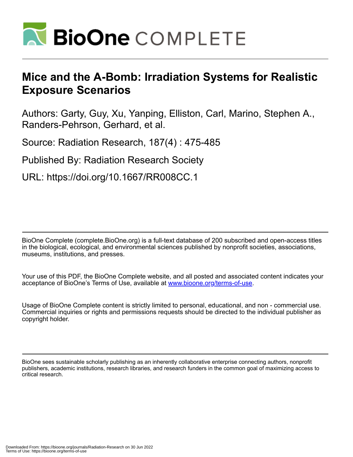

# **Mice and the A-Bomb: Irradiation Systems for Realistic Exposure Scenarios**

Authors: Garty, Guy, Xu, Yanping, Elliston, Carl, Marino, Stephen A., Randers-Pehrson, Gerhard, et al.

Source: Radiation Research, 187(4) : 475-485

Published By: Radiation Research Society

URL: https://doi.org/10.1667/RR008CC.1

BioOne Complete (complete.BioOne.org) is a full-text database of 200 subscribed and open-access titles in the biological, ecological, and environmental sciences published by nonprofit societies, associations, museums, institutions, and presses.

Your use of this PDF, the BioOne Complete website, and all posted and associated content indicates your acceptance of BioOne's Terms of Use, available at www.bioone.org/terms-of-use.

Usage of BioOne Complete content is strictly limited to personal, educational, and non - commercial use. Commercial inquiries or rights and permissions requests should be directed to the individual publisher as copyright holder.

BioOne sees sustainable scholarly publishing as an inherently collaborative enterprise connecting authors, nonprofit publishers, academic institutions, research libraries, and research funders in the common goal of maximizing access to critical research.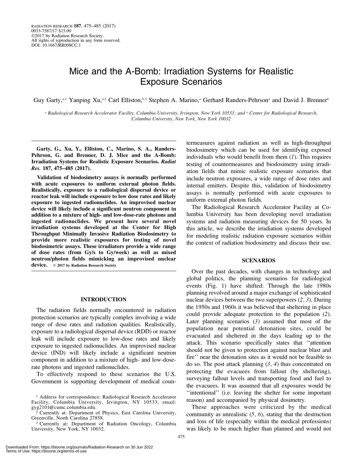# Mice and the A-Bomb: Irradiation Systems for Realistic Exposure Scenarios

Guy Garty,<sup>a,1</sup> Yanping Xu,<sup>a,2</sup> Carl Elliston,<sup>b,3</sup> Stephen A. Marino,<sup>a</sup> Gerhard Randers-Pehrson<sup>a</sup> and David J. Brenner<sup>b</sup>

<sup>a</sup> Radiological Research Accelerator Facility, Columbia University, Irvington, New York 10533; and <sup>b</sup> Center for Radiological Research, Columbia University, New York, New York 10032

Garty, G., Xu, Y., Elliston, C., Marino, S. A., Randers-Pehrson, G. and Brenner, D. J. Mice and the A-Bomb: Irradiation Systems for Realistic Exposure Scenarios. Radiat Res. 187, 475–485 (2017).

Validation of biodosimetry assays is normally performed with acute exposures to uniform external photon fields. Realistically, exposure to a radiological dispersal device or reactor leak will include exposure to low dose rates and likely exposure to ingested radionuclides. An improvised nuclear device will likely include a significant neutron component in addition to a mixture of high- and low-dose-rate photons and ingested radionuclides. We present here several novel irradiation systems developed at the Center for High Throughput Minimally Invasive Radiation Biodosimetry to provide more realistic exposures for testing of novel biodosimetric assays. These irradiators provide a wide range of dose rates (from Gy/s to Gy/week) as well as mixed neutron/photon fields mimicking an improvised nuclear device.  $\circ$  2017 by Radiation Research Society

### INTRODUCTION

The radiation fields normally encountered in radiation protection scenarios are typically complex involving a wide range of dose rates and radiation qualities. Realistically, exposure to a radiological dispersal device (RDD) or reactor leak will include exposure to low-dose rates and likely exposure to ingested radionuclides. An improvised nuclear device (IND) will likely include a significant neutron component in addition to a mixture of high- and low-doserate photons and ingested radionuclides.

To effectively respond to these scenarios the U.S. Government is supporting development of medical coun-

<sup>3</sup> Currently at: Department of Radiation Oncology, Columbia University, New York, NY 10032.

termeasures against radiation as well as high-throughput biodosimetry which can be used for identifying exposed individuals who would benefit from them  $(I)$ . This requires testing of countermeasures and biodosimetry using irradiation fields that mimic realistic exposure scenarios that include neutron exposures, a wide range of dose rates and internal emitters. Despite this, validation of biodosimetry assays is normally performed with acute exposures to uniform external photon fields.

The Radiological Research Accelerator Facility at Columbia University has been developing novel irradiation systems and radiation measuring devices for 50 years. In this article, we describe the irradiation systems developed for modeling realistic radiation exposure scenarios within the context of radiation biodosimetry and discuss their use.

#### **SCENARIOS**

Over the past decades, with changes in technology and global politics, the planning scenarios for radiological events (Fig. 1) have shifted: Through the late 1980s planning revolved around a major exchange of sophisticated nuclear devices between the two superpowers (2, 3). During the 1950s and 1960s it was believed that sheltering in place could provide adequate protection to the population (2). Later planning scenarios  $(3)$  assumed that most of the population near potential detonation sites, could be evacuated and sheltered in the days leading up to the attack. This scenario specifically states that ''attention should not be given to protection against nuclear blast and fire'' near the detonation sites as it would not be feasible to do so. The post attack planning  $(3, 4)$  thus concentrated on protecting the evacuees from fallout (by sheltering), surveying fallout levels and transporting food and fuel to the evacuees. It was assumed that all exposures would be ''intentional'' (i.e. leaving the shelter for some important reason) and accompanied by physical dosimetry.

These approaches were criticized by the medical community as unrealistic  $(5, 6)$ , stating that the destruction and loss of life (especially within the medical professions) was likely to be much higher than planned and would not

<sup>1</sup> Address for correspondence: Radiological Research Accelerator Facility, Columbia University, Irvington, NY 10533; email: gyg2101@cumc.columbia.edu.

<sup>&</sup>lt;sup>2</sup> Currently at: Department of Physics, East Carolina University, Greenville, North Carolina 27858.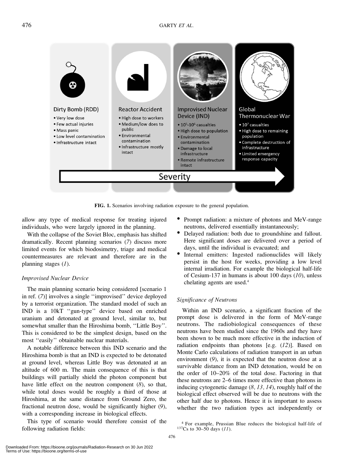

FIG. 1. Scenarios involving radiation exposure to the general population.

allow any type of medical response for treating injured individuals, who were largely ignored in the planning.

With the collapse of the Soviet Bloc, emphasis has shifted dramatically. Recent planning scenarios (7) discuss more limited events for which biodosimetry, triage and medical countermeasures are relevant and therefore are in the planning stages (1).

### Improvised Nuclear Device

The main planning scenario being considered [scenario 1 in ref. (7)] involves a single ''improvised'' device deployed by a terrorist organization. The standard model of such an IND is a 10kT ''gun-type'' device based on enriched uranium and detonated at ground level, similar to, but somewhat smaller than the Hiroshima bomb, ''Little Boy''. This is considered to be the simplest design, based on the most ''easily'' obtainable nuclear materials.

A notable difference between this IND scenario and the Hiroshima bomb is that an IND is expected to be detonated at ground level, whereas Little Boy was detonated at an altitude of 600 m. The main consequence of this is that buildings will partially shield the photon component but have little effect on the neutron component (8), so that, while total doses would be roughly a third of those at Hiroshima, at the same distance from Ground Zero, the fractional neutron dose, would be significantly higher (9), with a corresponding increase in biological effects.

This type of scenario would therefore consist of the following radiation fields:

- $\bullet$ Prompt radiation: a mixture of photons and MeV-range
- neutrons, delivered essentially instantaneously;<br>• Delayed radiation: both due to groundshine and fallout. Here significant doses are delivered over a period of
- days, until the individual is evacuated; and<br>• Internal emitters: Ingested radionuclides will likely persist in the host for weeks, providing a low level internal irradiation. For example the biological half-life of Cesium-137 in humans is about 100 days  $(10)$ , unless chelating agents are used.4

### Significance of Neutrons

Within an IND scenario, a significant fraction of the prompt dose is delivered in the form of MeV-range neutrons. The radiobiological consequences of these neutrons have been studied since the 1960s and they have been shown to be much more effective in the induction of radiation endpoints than photons [e.g. (12)]. Based on Monte Carlo calculations of radiation transport in an urban environment (9), it is expected that the neutron dose at a survivable distance from an IND detonation, would be on the order of 10–20% of the total dose. Factoring in that these neutrons are 2–6 times more effective than photons in inducing cytogenetic damage (8, 13, 14), roughly half of the biological effect observed will be due to neutrons with the other half due to photons. Hence it is important to assess whether the two radiation types act independently or

<sup>&</sup>lt;sup>4</sup> For example, Prussian Blue reduces the biological half-life of  $137Cs$  to 30–50 days (11).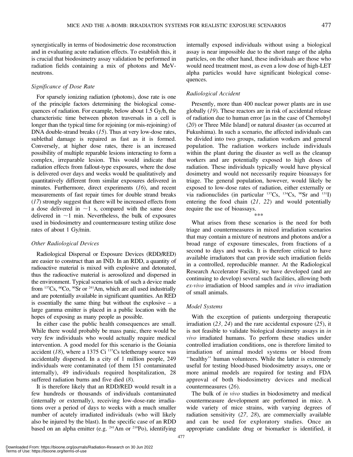synergistically in terms of biodosimetric dose reconstruction and in evaluating acute radiation effects. To establish this, it is crucial that biodosimetry assay validation be performed in radiation fields containing a mix of photons and MeVneutrons.

# Significance of Dose Rate

For sparsely ionizing radiation (photons), dose rate is one of the principle factors determining the biological consequences of radiation. For example, below about 1.5 Gy/h, the characteristic time between photon traversals in a cell is longer than the typical time for rejoining (or mis-rejoining) of DNA double-strand breaks (15). Thus at very low-dose rates, sublethal damage is repaired as fast as it is formed. Conversely, at higher dose rates, there is an increased possibility of multiple reparable lesions interacting to form a complex, irreparable lesion. This would indicate that radiation effects from fallout-type exposures, where the dose is delivered over days and weeks would be qualitatively and quantitatively different from similar exposures delivered in minutes. Furthermore, direct experiments (16), and recent measurements of fast repair times for double strand breaks (17) strongly suggest that there will be increased effects from a dose delivered in  $\sim$ 1 s, compared with the same dose delivered in  $\sim$ 1 min. Nevertheless, the bulk of exposures used in biodosimetry and countermeasure testing utilize dose rates of about 1 Gy/min.

# Other Radiological Devices

Radiological Dispersal or Exposure Devices (RDD/RED) are easier to construct than an IND. In an RDD, a quantity of radioactive material is mixed with explosive and detonated, thus the radioactive material is aerosolized and dispersed in the environment. Typical scenarios talk of such a device made from  $137Cs$ ,  $60Co$ ,  $90Sr$  or  $241Am$ , which are all used industrially and are potentially available in significant quantities. An RED is essentially the same thing but without the explosive – a large gamma emitter is placed in a public location with the hopes of exposing as many people as possible.

In either case the public health consequences are small. While there would probably be mass panic, there would be very few individuals who would actually require medical intervention. A good model for this scenario is the Goiania accident (18), where a 1375 Ci  $137Cs$  teletherapy source was accidentally dispersed. In a city of 1 million people, 249 individuals were contaminated (of them 151 contaminated internally), 49 individuals required hospitalization, 28 suffered radiation burns and five died  $(8)$ .

It is therefore likely that an RDD/RED would result in a few hundreds or thousands of individuals contaminated (internally or externally), receiving low-dose-rate irradiations over a period of days to weeks with a much smaller number of acutely irradiated individuals (who will likely also be injured by the blast). In the specific case of an RDD based on an alpha emitter (e.g. <sup>241</sup>Am or <sup>210</sup>Po), identifying internally exposed individuals without using a biological assay is near impossible due to the short range of the alpha particles, on the other hand, these individuals are those who would need treatment most, as even a low dose of high-LET alpha particles would have significant biological consequences.

# Radiological Accident

Presently, more than 400 nuclear power plants are in use globally (19). These reactors are in risk of accidental release of radiation due to human error [as in the case of Chernobyl (20) or Three Mile Island] or natural disaster (as occurred at Fukushima). In such a scenario, the affected individuals can be divided into two groups, radiation workers and general population. The radiation workers include individuals within the plant during the disaster as well as the cleanup workers and are potentially exposed to high doses of radiation. These individuals typically would have physical dosimetry and would not necessarily require bioassays for triage. The general population, however, would likely be exposed to low-dose rates of radiation, either externally or via radionuclides (in particular 137Cs, 134Cs, 90Sr and 131J) entering the food chain (21, 22) and would potentially require the use of bioassays. \*\*\*

What arises from these scenarios is the need for both triage and countermeasures in mixed irradiation scenarios that may contain a mixture of neutrons and photons and/or a broad range of exposure timescales, from fractions of a second to days and weeks. It is therefore critical to have available irradiators that can provide such irradiation fields in a controlled, reproducible manner. At the Radiological Research Accelerator Facility, we have developed (and are continuing to develop) several such facilities, allowing both ex-vivo irradiation of blood samples and in vivo irradiation of small animals.

# Model Systems

With the exception of patients undergoing therapeutic irradiation  $(23, 24)$  and the rare accidental exposure  $(25)$ , it is not feasible to validate biological dosimetry assays in in vivo irradiated humans. To perform these studies under controlled irradiation conditions, one is therefore limited to irradiation of animal model systems or blood from ''healthy'' human volunteers. While the latter is extremely useful for testing blood-based biodosimetry assays, one or more animal models are required for testing and FDA approval of both biodosimetry devices and medical countermeasures (26).

The bulk of in vivo studies in biodosimetry and medical countermeasure development are performed in mice. A wide variety of mice strains, with varying degrees of radiation sensitivity (27, 28), are commercially available and can be used for exploratory studies. Once an appropriate candidate drug or biomarker is identified, it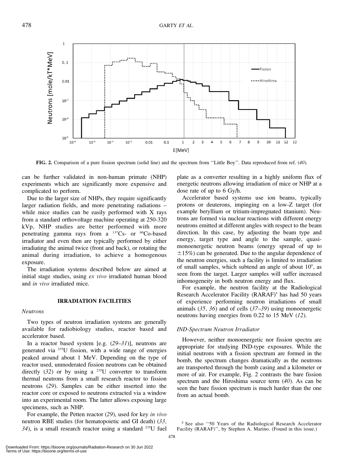

FIG. 2. Comparison of a pure fission spectrum (solid line) and the spectrum from ''Little Boy''. Data reproduced from ref. (40).

can be further validated in non-human primate (NHP) experiments which are significantly more expensive and complicated to perform.

Due to the larger size of NHPs, they require significantly larger radiation fields, and more penetrating radiations – while mice studies can be easily performed with X rays from a standard orthovoltage machine operating at 250-320 kVp, NHP studies are better performed with more penetrating gamma rays from a  $^{137}Cs$ - or  $^{60}Co$ -based irradiator and even then are typically performed by either irradiating the animal twice (front and back), or rotating the animal during irradiation, to achieve a homogenous exposure.

The irradiation systems described below are aimed at initial stage studies, using ex vivo irradiated human blood and in vivo irradiated mice.

### IRRADIATION FACILITIES

#### Neutrons

Two types of neutron irradiation systems are generally available for radiobiology studies, reactor based and accelerator based.

In a reactor based system [e.g.  $(29-31)$ ], neutrons are generated via 235U fission, with a wide range of energies peaked around about 1 MeV. Depending on the type of reactor used, unmoderated fission neutrons can be obtained directly  $(32)$  or by using a <sup>235</sup>U converter to transform thermal neutrons from a small research reactor to fission neutrons (29). Samples can be either inserted into the reactor core or exposed to neutrons extracted via a window into an experimental room. The latter allows exposing large specimens, such as NHP.

For example, the Petten reactor (29), used for key in vivo neutron RBE studies (for hematopoietic and GI death) (33,  $34$ ), is a small research reactor using a standard <sup>235</sup>U fuel

plate as a converter resulting in a highly uniform flux of energetic neutrons allowing irradiation of mice or NHP at a dose rate of up to 6 Gy/h.

Accelerator based systems use ion beams, typically protons or deuterons, impinging on a low-Z target (for example beryllium or tritium-impregnated titanium). Neutrons are formed via nuclear reactions with different energy neutrons emitted at different angles with respect to the beam direction. In this case, by adjusting the beam type and energy, target type and angle to the sample, quasimonoenergetic neutron beams (energy spread of up to  $\pm 15\%$ ) can be generated. Due to the angular dependence of the neutron energies, such a facility is limited to irradiation of small samples, which subtend an angle of about  $10^{\circ}$ , as seen from the target. Larger samples will suffer increased inhomogeneity in both neutron energy and flux.

For example, the neutron facility at the Radiological Research Accelerator Facility (RARAF)<sup>5</sup> has had 50 years of experience performing neutron irradiations of small animals  $(35, 36)$  and of cells  $(37-39)$  using monoenergetic neutrons having energies from 0.22 to 15 MeV (12).

#### IND-Spectrum Neutron Irradiator

However, neither monoenergetic nor fission spectra are appropriate for studying IND-type exposures. While the initial neutrons with a fission spectrum are formed in the bomb, the spectrum changes dramatically as the neutrons are transported through the bomb casing and a kilometer or more of air. For example, Fig. 2 contrasts the bare fission spectrum and the Hiroshima source term (40). As can be seen the bare fission spectrum is much harder than the one from an actual bomb.

<sup>5</sup> See also ''50 Years of the Radiological Research Accelerator Facility (RARAF)'', by Stephen A. Marino. (Found in this issue.)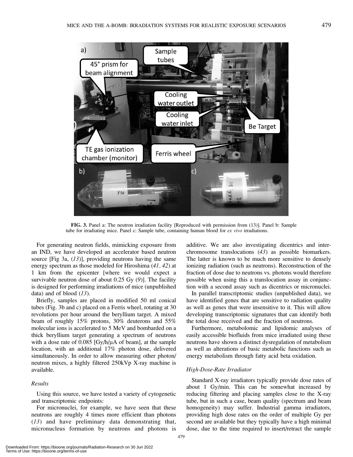

FIG. 3. Panel a: The neutron irradiation facility [Reproduced with permission from (13)]. Panel b: Sample tube for irradiating mice. Panel c: Sample tube, containing human blood for  $ex$  vivo irradiations.

For generating neutron fields, mimicking exposure from an IND, we have developed an accelerator based neutron source [Fig 3a,  $(13)$ ], providing neutrons having the same energy spectrum as those modeled for Hiroshima (41, 42) at 1 km from the epicenter [where we would expect a survivable neutron dose of about  $0.25$  Gy  $(9)$ ]. The facility is designed for performing irradiations of mice (unpublished data) and of blood  $(13)$ .

Briefly, samples are placed in modified 50 ml conical tubes (Fig. 3b and c) placed on a Ferris wheel, rotating at 30 revolutions per hour around the beryllium target. A mixed beam of roughly 15% protons, 30% deuterons and 55% molecular ions is accelerated to 5 MeV and bombarded on a thick beryllium target generating a spectrum of neutrons with a dose rate of  $0.085$  [Gy/h/ $\mu$ A of beam], at the sample location, with an additional 17% photon dose, delivered simultaneously. In order to allow measuring other photon/ neutron mixes, a highly filtered 250kVp X-ray machine is available.

#### Results

Using this source, we have tested a variety of cytogenetic and transcriptomic endpoints:

For micronuclei, for example, we have seen that these neutrons are roughly 4 times more efficient than photons (13) and have preliminary data demonstrating that, micronucleus formation by neutrons and photons is additive. We are also investigating dicentrics and interchromosome translocations (43) as possible biomarkers. The latter is known to be much more sensitive to densely ionizing radiation (such as neutrons). Reconstruction of the fraction of dose due to neutrons vs. photons would therefore possible when using this a translocation assay in conjunction with a second assay such as dicentrics or micronuclei.

In parallel transcriptomic studies (unpublished data), we have identified genes that are sensitive to radiation quality as well as genes that were insensitive to it. This will allow developing transcriptomic signatures that can identify both the total dose received and the fraction of neutrons.

Furthermore, metabolomic and lipidomic analyses of easily accessible biofluids from mice irradiated using these neutrons have shown a distinct dysregulation of metabolism as well as alterations of basic metabolic functions such as energy metabolism through fatty acid beta oxidation.

#### High-Dose-Rate Irradiator

Standard X-ray irradiators typically provide dose rates of about 1 Gy/min. This can be somewhat increased by reducing filtering and placing samples close to the X-ray tube, but in such a case, beam quality (spectrum and beam homogeneity) may suffer. Industrial gamma irradiators, providing high dose rates on the order of multiple Gy per second are available but they typically have a high minimal dose, due to the time required to insert/retract the sample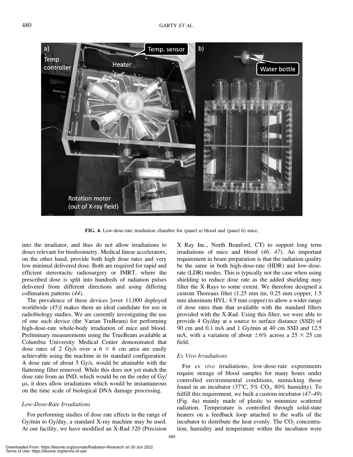

FIG. 4. Low-dose-rate irradiation chamber for (panel a) blood and (panel b) mice.

into the irradiator, and thus do not allow irradiations to doses relevant for biodosimetry. Medical linear accelerators, on the other hand, provide both high dose rates and very low minimal delivered dose. Both are required for rapid and efficient stereotactic radiosurgery or IMRT, where the prescribed dose is split into hundreds of radiation pulses delivered from different directions and using differing collimation patterns (44).

The prevalence of these devices [over 11,000 deployed worldwide (45)] makes them an ideal candidate for use in radiobiology studies. We are currently investigating the use of one such device (the Varian TruBeam) for performing high-dose-rate whole-body irradiation of mice and blood. Preliminary measurements using the TrueBeam available at Columbia University Medical Center demonstrated that dose rates of 2 Gy/s over a  $6 \times 6$  cm area are easily achievable using the machine in its standard configuration. A dose rate of about 5 Gy/s, would be attainable with the flattening filter removed. While this does not yet match the dose rate from an IND, which would be on the order of Gy/ ls, it does allow irradiations which would be instantaneous on the time scale of biological DNA damage processing.

# Low-Dose-Rate Irradiations

For performing studies of dose rate effects in the range of Gy/min to Gy/day, a standard X-ray machine may be used. At our facility, we have modified an X-Rad 320 (Precision

requirement in beam preparation is that the radiation quality be the same in both high-dose-rate (HDR) and low-doserate (LDR) modes. This is typically not the case when using shielding to reduce dose rate as the added shielding may filter the X Rays to some extent. We therefore designed a custom Thoreaus filter (1.25 mm tin, 0.25 mm copper, 1.5 mm aluminum HVL: 4.9 mm copper) to allow a wider range of dose rates than that available with the standard filters provided with the X-Rad. Using this filter, we were able to provide 4 Gy/day at a source to surface distance (SSD) of 90 cm and 0.1 mA and 1 Gy/min at 40 cm SSD and 12.5 mA, with a variation of about  $\pm 6\%$  across a 25  $\times$  25 cm field. Ex Vivo Irradiations

X Ray Inc., North Branford, CT) to support long term irradiations of mice and blood (46, 47). An important

For ex vivo irradiations, low-dose-rate experiments require storage of blood samples for many hours under controlled environmental conditions, mimicking those found in an incubator (37°C, 5% CO<sub>2</sub>, 80% humidity). To fulfill this requirement, we built a custom incubator  $(47-49)$ (Fig. 4a) mainly made of plastic to minimize scattered radiation. Temperature is controlled through solid-state heaters on a feedback loop attached to the walls of the incubator to distribute the heat evenly. The  $CO<sub>2</sub>$  concentration, humidity and temperature within the incubator were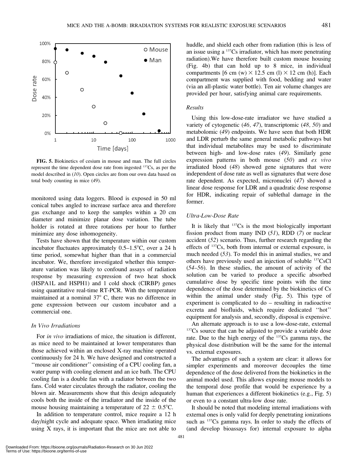

FIG. 5. Biokinetics of cesium in mouse and man. The full circles represent the time dependent dose rate from ingested 137Cs, as per the model described in (10). Open circles are from our own data based on total body counting in mice (49).

monitored using data loggers. Blood is exposed in 50 ml conical tubes angled to increase surface area and therefore gas exchange and to keep the samples within a 20 cm diameter and minimize planar dose variation. The tube holder is rotated at three rotations per hour to further minimize any dose inhomogeneity.

Tests have shown that the temperature within our custom incubator fluctuates approximately  $0.5-1.5^{\circ}C$ , over a 24 h time period, somewhat higher than that in a commercial incubator. We, therefore investigated whether this temperature variation was likely to confound assays of radiation response by measuring expression of two heat shock (HSPA1L and HSPH1) and 1 cold shock (CIRBP) genes using quantitative real-time RT-PCR. With the temperature maintained at a nominal  $37^{\circ}$  C, there was no difference in gene expression between our custom incubator and a commercial one.

#### In Vivo Irradiations

For *in vivo* irradiations of mice, the situation is different, as mice need to be maintained at lower temperatures than those achieved within an enclosed X-ray machine operated continuously for 24 h. We have designed and constructed a ''mouse air conditioner'' consisting of a CPU cooling fan, a water pump with cooling element and an ice bath. The CPU cooling fan is a double fan with a radiator between the two fans. Cold water circulates through the radiator, cooling the blown air. Measurements show that this design adequately cools both the inside of the irradiator and the inside of the mouse housing maintaining a temperature of  $22 \pm 0.5^{\circ}$ C.

In addition to temperature control, mice require a 12 h day/night cycle and adequate space. When irradiating mice using X rays, it is important that the mice are not able to huddle, and shield each other from radiation (this is less of an issue using a 137Cs irradiator, which has more penetrating radiation).We have therefore built custom mouse housing (Fig. 4b) that can hold up to 8 mice, in individual compartments [6 cm (w)  $\times$  12.5 cm (l)  $\times$  12 cm (h)]. Each compartment was supplied with food, bedding and water (via an all-plastic water bottle). Ten air volume changes are provided per hour, satisfying animal care requirements.

#### Results

Using this low-dose-rate irradiator we have studied a variety of cytogenetic (46, 47), transcriptomic (48, 50) and metabolomic (49) endpoints. We have seen that both HDR and LDR perturb the same general metabolic pathways but that individual metabolites may be used to discriminate between high- and low-dose rates (49). Similarly gene expression patterns in both mouse  $(50)$  and ex vivo irradiated blood (48) showed gene signatures that were independent of dose rate as well as signatures that were dose rate dependent. As expected, micronuclei (47) showed a linear dose response for LDR and a quadratic dose response for HDR, indicating repair of sublethal damage in the former.

# Ultra-Low-Dose Rate

It is likely that  $137Cs$  is the most biologically important fission product from many IND  $(51)$ , RDD  $(7)$  or nuclear accident (52) scenario. Thus, further research regarding the effects of 137Cs, both from internal or external exposure, is much needed  $(53)$ . To model this in animal studies, we and others have previously used an injection of soluble 137CsCl  $(54–56)$ . In these studies, the amount of activity of the solution can be varied to produce a specific absorbed cumulative dose by specific time points with the time dependence of the dose determined by the biokinetics of Cs within the animal under study (Fig. 5). This type of experiment is complicated to do – resulting in radioactive excreta and biofluids, which require dedicated ''hot'' equipment for analysis and, secondly, disposal is expensive.

An alternate approach is to use a low-dose-rate, external <sup>137</sup>Cs source that can be adjusted to provide a variable dose rate. Due to the high energy of the 137Cs gamma rays, the physical dose distribution will be the same for the internal vs. external exposures.

The advantages of such a system are clear: it allows for simpler experiments and moreover decouples the time dependence of the dose delivered from the biokinetics in the animal model used. This allows exposing mouse models to the temporal dose profile that would be experience by a human that experiences a different biokinetics (e.g., Fig. 5) or even to a constant ultra-low dose rate.

It should be noted that modeling internal irradiations with external ones is only valid for deeply penetrating ionizations such as <sup>137</sup>Cs gamma rays. In order to study the effects of (and develop bioassays for) internal exposure to alpha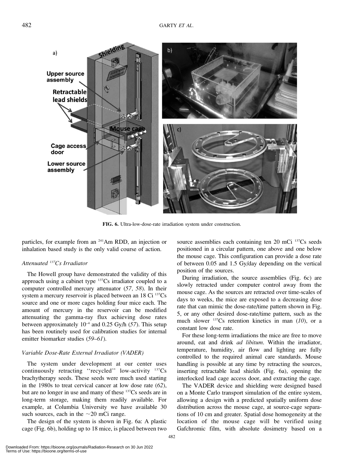

FIG. 6. Ultra-low-dose-rate irradiation system under construction.

particles, for example from an 241Am RDD, an injection or inhalation based study is the only valid course of action.

# Attenuated <sup>137</sup>Cs Irradiator

The Howell group have demonstrated the validity of this approach using a cabinet type 137Cs irradiator coupled to a computer controlled mercury attenuator (57, 58). In their system a mercury reservoir is placed between an 18 Ci <sup>137</sup>Cs source and one or more cages holding four mice each. The amount of mercury in the reservoir can be modified attenuating the gamma-ray flux achieving dose rates between approximately  $10^{-4}$  and 0.25 Gy/h (57). This setup has been routinely used for calibration studies for internal emitter biomarker studies (59–61).

#### Variable Dose-Rate External Irradiator (VADER)

The system under development at our center uses continuously retracting "recycled" low-activity <sup>137</sup>Cs brachytherapy seeds. These seeds were much used starting in the 1980s to treat cervical cancer at low dose rate (62), but are no longer in use and many of these 137Cs seeds are in long-term storage, making them readily available. For example, at Columbia University we have available 30 such sources, each in the  $\sim$ 20 mCi range.

The design of the system is shown in Fig. 6a: A plastic cage (Fig. 6b), holding up to 18 mice, is placed between two source assemblies each containing ten 20 mCi <sup>137</sup>Cs seeds positioned in a circular pattern, one above and one below the mouse cage. This configuration can provide a dose rate of between 0.05 and 1.5 Gy/day depending on the vertical position of the sources.

During irradiation, the source assemblies (Fig. 6c) are slowly retracted under computer control away from the mouse cage. As the sources are retracted over time-scales of days to weeks, the mice are exposed to a decreasing dose rate that can mimic the dose-rate/time pattern shown in Fig. 5, or any other desired dose-rate/time pattern, such as the much slower  $^{137}Cs$  retention kinetics in man (10), or a constant low dose rate.

For these long-term irradiations the mice are free to move around, eat and drink ad libitum. Within the irradiator, temperature, humidity, air flow and lighting are fully controlled to the required animal care standards. Mouse handling is possible at any time by retracting the sources, inserting retractable lead shields (Fig. 6a), opening the interlocked lead cage access door, and extracting the cage.

The VADER device and shielding were designed based on a Monte Carlo transport simulation of the entire system, allowing a design with a predicted spatially uniform dose distribution across the mouse cage, at source-cage separations of 10 cm and greater. Spatial dose homogeneity at the location of the mouse cage will be verified using Gafchromic film, with absolute dosimetry based on a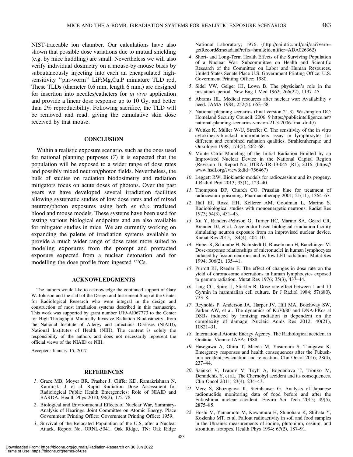NIST-traceable ion chamber. Our calculations have also shown that possible dose variations due to mutual shielding (e.g. by mice huddling) are small. Nevertheless we will also verify individual dosimetry on a mouse-by-mouse basis by subcutaneously injecting into each an encapsulated highsensitivity ''pin-worm'' LiF:Mg,Cu,P miniature TLD rod. These TLDs (diameter 0.6 mm, length 6 mm,) are designed for insertion into needles/catheters for in vivo application and provide a linear dose response up to 10 Gy, and better than 2% reproducibility. Following sacrifice, the TLD will be removed and read, giving the cumulative skin dose

#### **CONCLUSION**

received by that mouse.

Within a realistic exposure scenario, such as the ones used for national planning purposes (7) it is expected that the population will be exposed to a wider range of dose rates and possibly mixed neutron/photon fields. Nevertheless, the bulk of studies on radiation biodosimetry and radiation mitigators focus on acute doses of photons. Over the past years we have developed several irradiation facilities allowing systematic studies of low dose rates and of mixed neutron/photon exposures using both ex vivo irradiated blood and mouse models. These systems have been used for testing various biological endpoints and are also available for mitigator studies in mice. We are currently working on expanding the palette of irradiation systems available to provide a much wider range of dose rates more suited to modeling exposures from the prompt and protracted exposure expected from a nuclear detonation and for modelling the dose profile from ingested 137Cs.

#### ACKNOWLEDGMENTS

The authors would like to acknowledge the continued support of Gary W. Johnson and the staff of the Design and Instrument Shop at the Center for Radiological Research who were integral in the design and construction of most irradiation systems described in this manuscript. This work was supported by grant number U19-AI067773 to the Center for High-Throughput Minimally Invasive Radiation Biodosimetry, from the National Institute of Allergy and Infectious Diseases (NIAID), National Institutes of Health (NIH). The content is solely the responsibility of the authors and does not necessarily represent the official views of the NIAID or NIH.

Accepted: January 15, 2017

#### **REFERENCES**

- 1. Grace MB, Moyer BR, Prasher J, Cliffer KD, Ramakrishnan N, Kaminski J, et al. Rapid Radiation Dose Assessment for Radiological Public Health Emergencies: Role of NIAID and BARDA. Health Phys 2010; 98(2), 172–78.
- 2. Biological and Environmental Effects of Nuclear War, Summary-Analysis of Hearings. Joint Committee on Atomic Energy. Place Government Printing Office: Government Printing Office; 1959.
- 3. Survival of the Relocated Population of the U.S. after a Nuclear Attack. Report No. ORNL-5041. Oak Ridge, TN: Oak Ridge

National Laboratory; 1976. (http://oai.dtic.mil/oai/oai?verb= getRecord&metadataPrefix=html&identifier=ADA026362)

- 4. Short- and Long-Term Health Effects of the Surviving Population of a Nuclear War. Subcommittee on Health and Scientific Research of the Committee on Labor and Human Resources, United States Senate Place U.S. Government Printing Office: U.S. Government Printing Office; 1980.
- 5. Sidel VW, Geiger HJ, Lown B. The physician's role in the postattack period. New Eng J Med 1962; 266(22), 1137–45.
- 6. Abrams HL. Medical resources after nuclear war: Availability v need. JAMA 1984; 252(5), 653–58.
- 7. National planning scenarios (final version 21.3). Washington DC: Homeland Security Council; 2006. 9 https://publicintelligence.net/ national-planning-scenarios-version-21-3-2006-final-draft/)
- 8. Wuttke K, Müller W-U, Streffer C. The sensitivity of the in vitro cytokinesis-blocked micronucleus assay in lymphocytes for different and combined radiation qualities. Strahlentherapie und Onkologie 1998; 174(5), 262–68.
- 9. Monte Carlo Modeling of the Initial Radiation Emitted by an Improvised Nuclear Device in the National Capital Region (Revision 1). Report No. DTRA-TR-13-045 (R1); 2016. (https:// www.hsdl.org/?view&did=756467)
- 10. Leggett RW. Biokinetic models for radiocaesium and its progeny. J Radiol Prot 2013; 33(1), 123–40.
- 11. Thompson DF, Church CO. Prussian blue for treatment of radiocesium poisoning. Pharmacotherapy 2001; 21(11), 1364–67.
- 12. Hall EJ, Rossi HH, Kellerer AM, Goodman L, Marino S. Radiobiological studies with monoenergetic neutrons. Radiat Res 1973; 54(3), 431–43.
- 13. Xu Y, Randers-Pehrson G, Turner HC, Marino SA, Geard CR, Brenner DJ, et al. Accelerator-based biological irradiation facility simulating neutron exposure from an improvised nuclear device. Radiat Res 2015; 184(4), 404–10.
- 14. Huber R, Schraube H, Nahrstedt U, Braselmann H, Bauchinger M. Dose-response relationships of micronuclei in human lymphocytes induced by fission neutrons and by low LET radiations. Mutat Res 1994; 306(2), 135–41.
- 15. Purrott RJ, Reeder E. The effect of changes in dose rate on the yield of chromosome aberrations in human lymphocytes exposed to gamma radiation. Mutat Res 1976; 35(3), 437–44.
- 16. Ling CC, Spiro IJ, Stickler R. Dose-rate effect between 1 and 10 Gy/min in mammalian cell culture. Br J Radiol 1984; 57(680), 723–8.
- 17. Reynolds P, Anderson JA, Harper JV, Hill MA, Botchway SW, Parker AW, et al. The dynamics of Ku70/80 and DNA-PKcs at DSBs induced by ionizing radiation is dependent on the complexity of damage. Nucleic Acids Res 2012; 40(21), 10821–31.
- 18. International Atomic Energy Agency. The Radiological accident in Goiânia. Vienna: IAEA; 1988.
- 19. Hasegawa A, Ohira T, Maeda M, Yasumura S, Tanigawa K. Emergency responses and health consequences after the Fukushima accident; evacuation and relocation. Clin Oncol 2016; 28(4), 237–44.
- 20. Saenko V, Ivanov V, Tsyb A, Bogdanova T, Tronko M, Demidchik Y, et al.. The Chernobyl accident and its consequences. Clin Oncol 2011; 23(4), 234–43.
- 21. Merz S, Shozugawa K, Steinhauser G. Analysis of Japanese radionuclide monitoring data of food before and after the Fukushima nuclear accident. Enviro Sci Tech 2015; 49(5), 2875–85.
- 22. Hoshi M, Yamamoto M, Kawamura H, Shinohara K, Shibata Y, Kozlenko MT, et al. Fallout radioactivity in soil and food samples in the Ukraine: measurements of iodine, plutonium, cesium, and strontium isotopes. Health Phys 1994; 67(2), 187–91.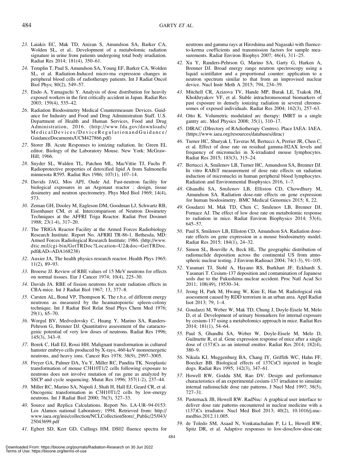- 23. Laiakis EC, Mak TD, Anizan S, Amundson SA, Barker CA, Wolden SL, et al.. Development of a metabolomic radiation signature in urine from patients undergoing total body irradiation. Radiat Res 2014; 181(4), 350–61.
- 24. Templin T, Paul S, Amundson SA, Young EF, Barker CA, Wolden SL, et al. Radiation-Induced micro-rna expression changes in peripheral blood cells of radiotherapy patients. Int J Radiat Oncol Biol Phys; 80(2), 549–57.
- 25. Endo A, Yamaguchi Y. Analysis of dose distribution for heavily exposed workers in the first critically accident in Japan. Radiat Res 2003; 159(4), 535–42.
- 26. Radiation Biodosimetry Medical Countermeasure Devices. Guidance for Industry and Food and Drug Administration Staff. U.S. Department of Health and Human Services, Food and Drug Administration, 2016. (http://www.fda.gov/downloads/ MedicalDevices/DeviceRegulationandGuidance/ GuidanceDocuments/UCM427866.pdf)
- 27. Storer JB. Acute Responses to ionizing radiation. In: Green EL editor. Biology of the Laboratory Mouse. New York: McGraw-Hill; 1966.
- 28. Snyder SL, Walden TL, Patchen ML, MacVittie TJ, Fuchs P. Radioprotective properties of detoxified lipid A from Salmonella minnesota R595. Radiat Res 1986; 107(1), 107–14.
- 29. Davids JAG, Mos APJ, Oude Ad. Fast-neutron facility for biological exposures in an Argonaut reactor : design, tissue dosimetry and neutron spectrometry. Phys Med Biol 1969; 14(4), 573.
- 30. Zeman GH, Dooley M, Eagleson DM, Goodman LJ, Schwartz RB, Eisenhauer CM, et al. Intercomparison of Neutron Dosimetry Techniques at the AFFRI Triga Reactor. Radiat Prot Dosimet 1988; 23(1-4), 317–20.
- 31. The TRIGA Reactor Facility at the Armed Forces Radiobiology Research Institute. Report No. AFRRI TR-86-1. Bethesda, MD: Armed Forces Radiological Research Institute; 1986. (http://www. dtic.mil/cgi-bin/GetTRDoc?Location=U2&doc=GetTRDoc.  $pdf&AD=ADA168238)$
- 32. Auxier JA, The health physics research reactor. Health Phys 1965; 11(2), 89–93.
- 33. Broerse JJ. Review of RBE values of 15 MeV neutrons for effects on normal tissues. Eur J Cancer 1974; 10(4), 225–30.
- 34. Davids JA. RBE of fission neutrons for acute radiation effects in CBA-mice. Int J Radiat Biol 1967; 13, 377–8.
- 35. Carsten AL, Bond VP, Thompson K. The r.b.e. of different energy neutrons as measured by the heamatopoietic spleen-colony technique. Int J Radiat Biol Relat Stud Phys Chem Med 1976; 29(1), 65–70.
- 36. Worgul BV, Medvedovsky C, Huang Y, Marino SA, Randers-Pehrson G, Brenner DJ. Quantitative assessment of the cataractogenic potential of very low doses of neutrons. Radiat Res 1996; 145(3), 343–9.
- 37. Borek C, Hall EJ, Rossi HH. Malignant transformation in cultured hamster embryo cells produced by X-rays, 460-keV monoenergetic neutrons, and heavy ions. Cancer Res 1978; 38(9), 2997–3005.
- 38. Freyer GA, Palmer DA, Yu Y, Miller RC, Pandita TK. Neoplastic transformation of mouse C3H10T1/2 cells following exposure to neutrons does not involve mutation of ras gene as analyzed by SSCP and cycle sequencing. Mutat Res 1996; 357(1-2), 237–44.
- 39. Miller RC, Marino SA, Napoli J, Shah H, Hall EJ, Geard CR, et al. Oncogenic transformation in C3H10T1/2 cells by low-energy neutrons. Int J Radiat Biol 2000; 76(3), 327–33.
- 40. Source and Replica Calculations. Report No. LA-UR–94-0153: Los Alamos national Laboratory; 1994. Retrieved from: http:// www.iaea.org/inis/collection/NCLCollectionStore/\_Public/25/043/ 25043699.pdf
- 41. Egbert SD, Kerr GD, Cullings HM. DS02 fluence spectra for

neutrons and gamma rays at Hiroshima and Nagasaki with fluenceto-kerma coefficients and transmission factors for sample measurements. Radiat Environ Biophys 2007; 46(4), 311–25.

- 42. Xu Y, Randers-Pehrson G, Marino SA, Garty G, Harken A, Brenner DJ. Broad energy range neutron spectroscopy using a liquid scintillator and a proportional counter: application to a neutron spectrum similar to that from an improvised nuclear device. Nucl Instr Meth A 2015; 794, 234–39.
- 43. Mitchell CR, Azizova TV, Hande MP, Burak LE, Tsakok JM, Khokhryakov VF, et al. Stable intrachromosomal biomarkers of past exposure to densely ionizing radiation in several chromosomes of exposed individuals. Radiat Res 2004; 162(3), 257–63.
- 44. Otto K. Volumetric modulated arc therapy: IMRT in a single gantry arc. Med Physics 2008; 35(1), 310–17.
- 45. DIRAC (DIrectory of RAdiotherapy Centres). Place IAEA: IAEA. (https://www.iaea.org/resources/databases/dirac)
- 46. Turner HC, Shuryak I, Taveras M, Bertucci A, Perrier JR, Chen C, et al. Effect of dose rate on residual gamma-H2AX levels and frequency of micronuclei in X-irradiated mouse lymphocytes. Radiat Res 2015; 183(3), 315–24.
- 47. Bertucci A, Smilenov LB, Turner HC, Amundson SA, Brenner DJ. In vitro RABiT measurement of dose rate effects on radiation induction of micronuclei in human peripheral blood lymphocytes. Radiation and Environmental Biophysics 2016, 1–7.
- 48. Ghandhi SA, Smilenov LB, Elliston CD, Chowdhury M, Amundson SA. Radiation dose-rate effects on gene expression for human biodosimetry. BMC Medical Genomics 2015; 8, 22.
- 49. Goudarzi M, Mak TD, Chen C, Smilenov LB, Brenner DJ, Fornace AJ. The effect of low dose rate on metabolomic response to radiation in mice. Radiat Environ Biophysics 2014; 53(4), 645–57.
- 50. Paul S, Smilenov LB, Elliston CD, Amundson SA. Radiation doserate effects on gene expression in a mouse biodosimetry model. Radiat Res 2015; 184(1), 24–32.
- 51. Simon SL, Bouville A, Beck HL. The geographic distribution of radionuclide deposition across the continental US from atmospheric nuclear testing. J Environ Radioact 2004; 74(1-3), 91–105.
- 52. Yasunari TJ, Stohl A, Hayano RS, Burkhart JF, Eckhardt S, Yasunari T. Cesium-137 deposition and contamination of Japanese soils due to the Fukushima nuclear accident. Proc Natl Acad Sci 2011; 108(49), 19530–34.
- 53. Jeong H, Park M, Hwang W, Kim E, Han M. Radiological risk assessment caused by RDD terrorism in an urban area. Appl Radiat Isot 2013; 79, 1–4.
- 54. Goudarzi M, Weber W, Mak TD, Chung J, Doyle-Eisele M, Melo D, et al. Development of urinary biomarkers for internal exposure by cesium-137 using a metabolomics approach in mice. Radiat Res 2014; 181(1), 54–64.
- 55. Paul S, Ghandhi SA, Weber W, Doyle-Eisele M, Melo D, Guilmette R, et al. Gene expression response of mice after a single dose of (137)Cs as an internal emitter. Radiat Res 2014; 182(4), 380–9.
- 56. Nikula KJ, Muggenburg BA, Chang IY, Griffith WC, Hahn FF, Boecker BB. Biological effects of 137CsCl injected in beagle dogs. Radiat Res 1995; 142(3), 347–61.
- 57. Howell RW, Goddu SM, Rao DV. Design and performance characteristics of an experimental cesium-137 irradiator to simulate internal radionuclide dose rate patterns. J Nucl Med 1997; 38(5), 727–31.
- 58. Pasternack JB, Howell RW. RadNuc: A graphical user interface to deliver dose rate patterns encountered in nuclear medicine with a (137)Cs irradiator. Nucl Med Biol 2013; 40(2), 10.1016/j.nucmedbio.2012.11.005.
- 59. de Toledo SM, Asaad N, Venkatachalam P, Li L, Howell RW, Spitz DR, et al. Adaptive responses to low-dose/low-dose-rate